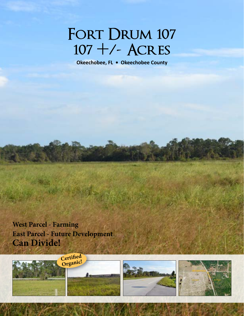# FORT DRUM 107 **107 +/- Acres**

**Okeechobee, FL • Okeechobee County**

**West Parcel - Farming East Parcel - Future Development Can Divide!**





114 North Tennessee Ave., 3rd Floor, Lakeland, FL 33801 • 863.648.1528 • SaundersRealEstate.com